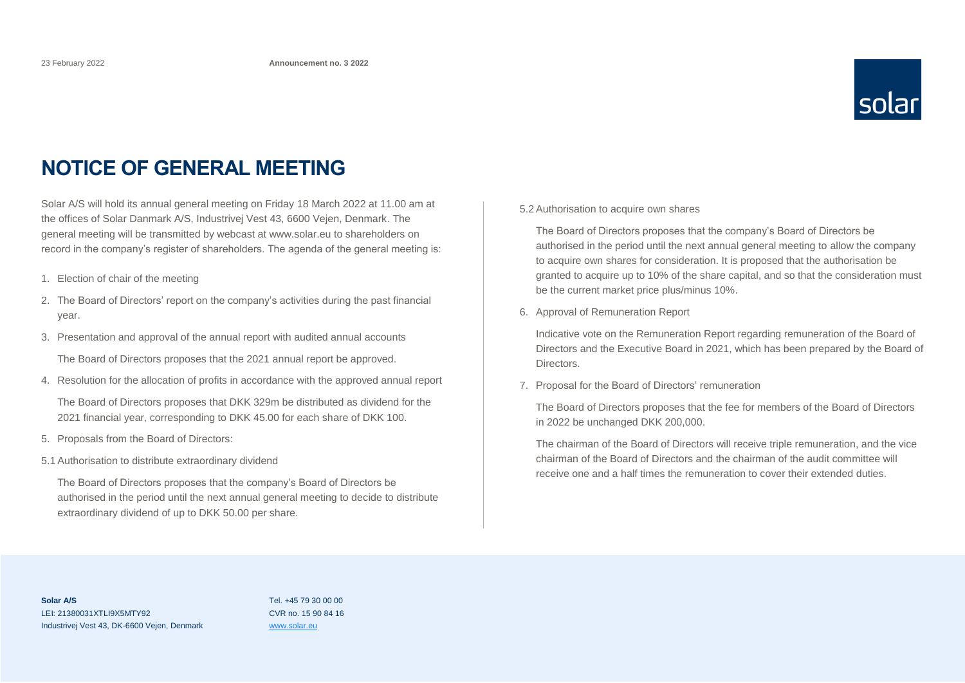

### **NOTICE OF GENERAL MEETING**

Solar A/S will hold its annual general meeting on Friday 18 March 2022 at 11.00 am at the offices of Solar Danmark A/S, Industrivej Vest 43, 6600 Vejen, Denmark. The general meeting will be transmitted by webcast at www.solar.eu to shareholders on record in the company's register of shareholders. The agenda of the general meeting is:

- 1. Election of chair of the meeting
- 2. The Board of Directors' report on the company's activities during the past financial year.
- 3. Presentation and approval of the annual report with audited annual accounts

The Board of Directors proposes that the 2021 annual report be approved.

4. Resolution for the allocation of profits in accordance with the approved annual report

The Board of Directors proposes that DKK 329m be distributed as dividend for the 2021 financial year, corresponding to DKK 45.00 for each share of DKK 100.

- 5. Proposals from the Board of Directors:
- 5.1 Authorisation to distribute extraordinary dividend

The Board of Directors proposes that the company's Board of Directors be authorised in the period until the next annual general meeting to decide to distribute extraordinary dividend of up to DKK 50.00 per share.

5.2 Authorisation to acquire own shares

The Board of Directors proposes that the company's Board of Directors be authorised in the period until the next annual general meeting to allow the company to acquire own shares for consideration. It is proposed that the authorisation be granted to acquire up to 10% of the share capital, and so that the consideration must be the current market price plus/minus 10%.

6. Approval of Remuneration Report

Indicative vote on the Remuneration Report regarding remuneration of the Board of Directors and the Executive Board in 2021, which has been prepared by the Board of **Directors** 

7. Proposal for the Board of Directors' remuneration

The Board of Directors proposes that the fee for members of the Board of Directors in 2022 be unchanged DKK 200,000.

The chairman of the Board of Directors will receive triple remuneration, and the vice chairman of the Board of Directors and the chairman of the audit committee will receive one and a half times the remuneration to cover their extended duties.

**Solar A/S** LEI: 21380031XTLI9X5MTY92 Industrivej Vest 43, DK-6600 Vejen, Denmark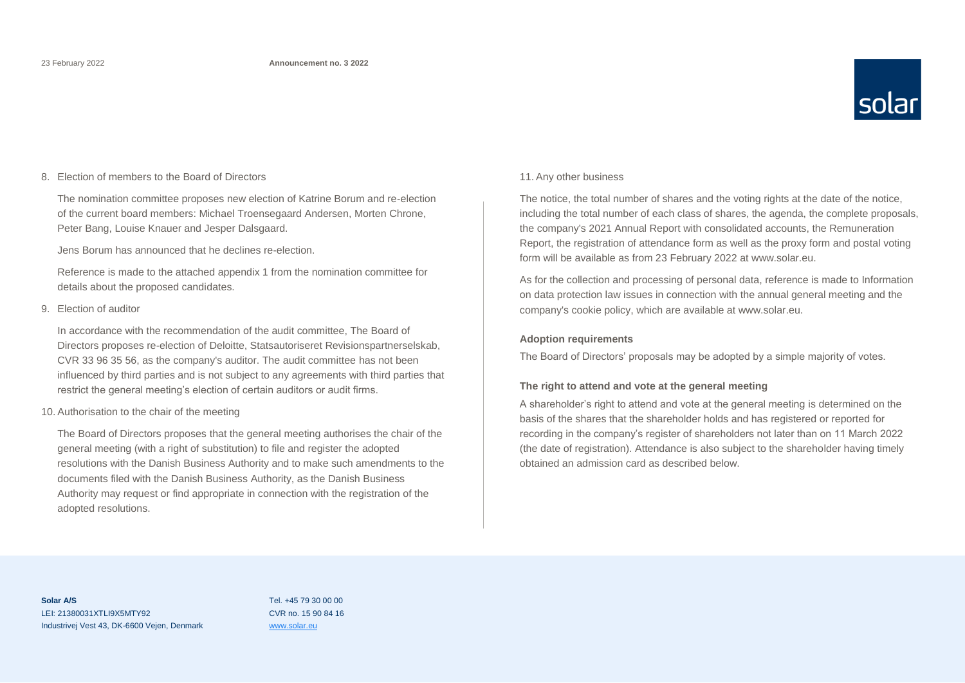

#### 8. Election of members to the Board of Directors

The nomination committee proposes new election of Katrine Borum and re-election of the current board members: Michael Troensegaard Andersen, Morten Chrone, Peter Bang, Louise Knauer and Jesper Dalsgaard.

Jens Borum has announced that he declines re-election.

Reference is made to the attached appendix 1 from the nomination committee for details about the proposed candidates.

#### 9. Election of auditor

In accordance with the recommendation of the audit committee, The Board of Directors proposes re-election of Deloitte, Statsautoriseret Revisionspartnerselskab, CVR 33 96 35 56, as the company's auditor. The audit committee has not been influenced by third parties and is not subject to any agreements with third parties that restrict the general meeting's election of certain auditors or audit firms.

#### 10. Authorisation to the chair of the meeting

The Board of Directors proposes that the general meeting authorises the chair of the general meeting (with a right of substitution) to file and register the adopted resolutions with the Danish Business Authority and to make such amendments to the documents filed with the Danish Business Authority, as the Danish Business Authority may request or find appropriate in connection with the registration of the adopted resolutions.

#### 11. Any other business

The notice, the total number of shares and the voting rights at the date of the notice, including the total number of each class of shares, the agenda, the complete proposals, the company's 2021 Annual Report with consolidated accounts, the Remuneration Report, the registration of attendance form as well as the proxy form and postal voting form will be available as from 23 February 2022 at www.solar.eu.

As for the collection and processing of personal data, reference is made to Information on data protection law issues in connection with the annual general meeting and the company's cookie policy, which are available at www.solar.eu.

#### **Adoption requirements**

The Board of Directors' proposals may be adopted by a simple majority of votes.

#### **The right to attend and vote at the general meeting**

A shareholder's right to attend and vote at the general meeting is determined on the basis of the shares that the shareholder holds and has registered or reported for recording in the company's register of shareholders not later than on 11 March 2022 (the date of registration). Attendance is also subject to the shareholder having timely obtained an admission card as described below.

**Solar A/S** LEI: 21380031XTLI9X5MTY92 Industrivej Vest 43, DK-6600 Vejen, Denmark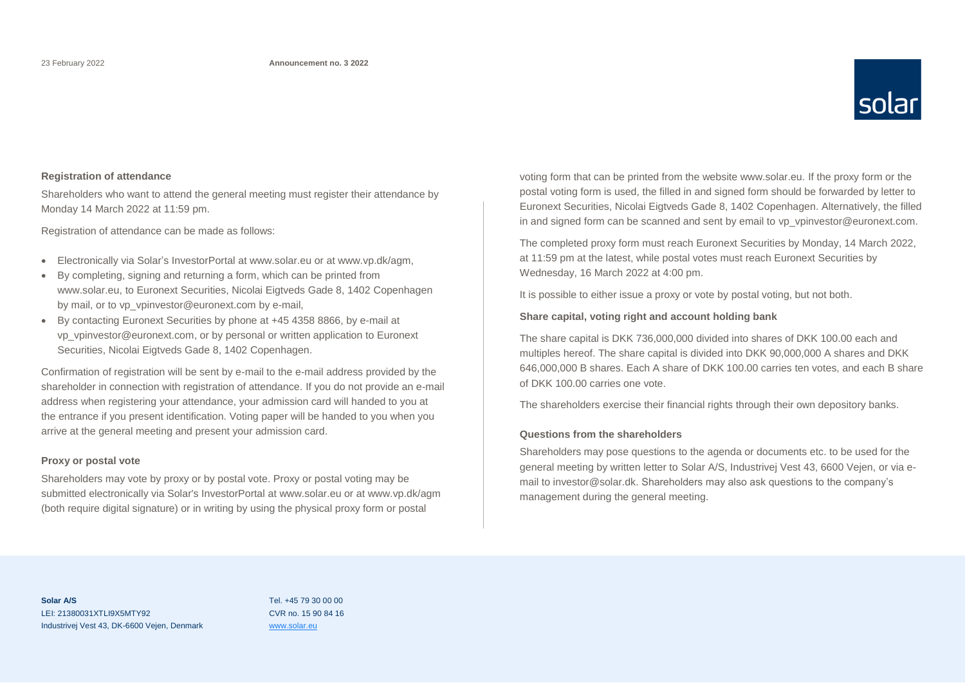

#### **Registration of attendance**

Shareholders who want to attend the general meeting must register their attendance by Monday 14 March 2022 at 11:59 pm.

Registration of attendance can be made as follows:

- Electronically via Solar's InvestorPortal at www.solar.eu or at www.vp.dk/agm,
- By completing, signing and returning a form, which can be printed from www.solar.eu, to Euronext Securities, Nicolai Eigtveds Gade 8, 1402 Copenhagen by mail, or to vp\_vpinvestor@euronext.com by e-mail,
- By contacting Euronext Securities by phone at +45 4358 8866, by e-mail at vp\_vpinvestor@euronext.com, or by personal or written application to Euronext Securities, Nicolai Eigtveds Gade 8, 1402 Copenhagen.

Confirmation of registration will be sent by e-mail to the e-mail address provided by the shareholder in connection with registration of attendance. If you do not provide an e-mail address when registering your attendance, your admission card will handed to you at the entrance if you present identification. Voting paper will be handed to you when you arrive at the general meeting and present your admission card.

#### **Proxy or postal vote**

Shareholders may vote by proxy or by postal vote. Proxy or postal voting may be submitted electronically via Solar's InvestorPortal at www.solar.eu or at www.vp.dk/agm (both require digital signature) or in writing by using the physical proxy form or postal

voting form that can be printed from the website www.solar.eu. If the proxy form or the postal voting form is used, the filled in and signed form should be forwarded by letter to Euronext Securities, Nicolai Eigtveds Gade 8, 1402 Copenhagen. Alternatively, the filled in and signed form can be scanned and sent by email to vp\_vpinvestor@euronext.com.

The completed proxy form must reach Euronext Securities by Monday, 14 March 2022, at 11:59 pm at the latest, while postal votes must reach Euronext Securities by Wednesday, 16 March 2022 at 4:00 pm.

It is possible to either issue a proxy or vote by postal voting, but not both.

#### **Share capital, voting right and account holding bank**

The share capital is DKK 736,000,000 divided into shares of DKK 100.00 each and multiples hereof. The share capital is divided into DKK 90,000,000 A shares and DKK 646,000,000 B shares. Each A share of DKK 100.00 carries ten votes, and each B share of DKK 100.00 carries one vote.

The shareholders exercise their financial rights through their own depository banks.

#### **Questions from the shareholders**

Shareholders may pose questions to the agenda or documents etc. to be used for the general meeting by written letter to Solar A/S, Industrivej Vest 43, 6600 Vejen, or via email to investor@solar.dk. Shareholders may also ask questions to the company's management during the general meeting.

**Solar A/S** LEI: 21380031XTLI9X5MTY92 Industrivej Vest 43, DK-6600 Vejen, Denmark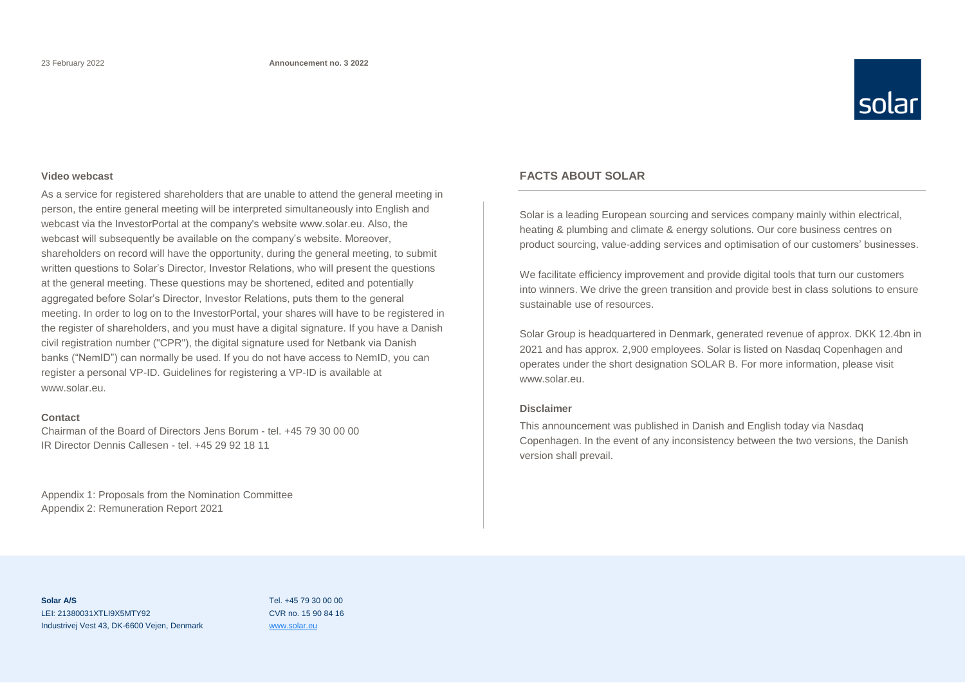

#### **Video webcast**

As a service for registered shareholders that are unable to attend the general meeting in person, the entire general meeting will be interpreted simultaneously into English and webcast via the InvestorPortal at the company's website www.solar.eu. Also, the webcast will subsequently be available on the company's website. Moreover, shareholders on record will have the opportunity, during the general meeting, to submit written questions to Solar's Director, Investor Relations, who will present the questions at the general meeting. These questions may be shortened, edited and potentially aggregated before Solar's Director, Investor Relations, puts them to the general meeting. In order to log on to the InvestorPortal, your shares will have to be registered in the register of shareholders, and you must have a digital signature. If you have a Danish civil registration number ("CPR"), the digital signature used for Netbank via Danish banks ("NemID") can normally be used. If you do not have access to NemID, you can register a personal VP-ID. Guidelines for registering a VP-ID is available at www.solar.eu.

#### **Contact**

Chairman of the Board of Directors Jens Borum - tel. +45 79 30 00 00 IR Director Dennis Callesen - tel. +45 29 92 18 11

Appendix 1: Proposals from the Nomination Committee Appendix 2: Remuneration Report 2021

#### **FACTS ABOUT SOLAR**

Solar is a leading European sourcing and services company mainly within electrical, heating & plumbing and climate & energy solutions. Our core business centres on product sourcing, value-adding services and optimisation of our customers' businesses.

We facilitate efficiency improvement and provide digital tools that turn our customers into winners. We drive the green transition and provide best in class solutions to ensure sustainable use of resources.

Solar Group is headquartered in Denmark, generated revenue of approx. DKK 12.4bn in 2021 and has approx. 2,900 employees. Solar is listed on Nasdaq Copenhagen and operates under the short designation SOLAR B. For more information, please visit www.solar.eu.

#### **Disclaimer**

This announcement was published in Danish and English today via Nasdaq Copenhagen. In the event of any inconsistency between the two versions, the Danish version shall prevail.

**Solar A/S** LEI: 21380031XTLI9X5MTY92 Industrivej Vest 43, DK-6600 Vejen, Denmark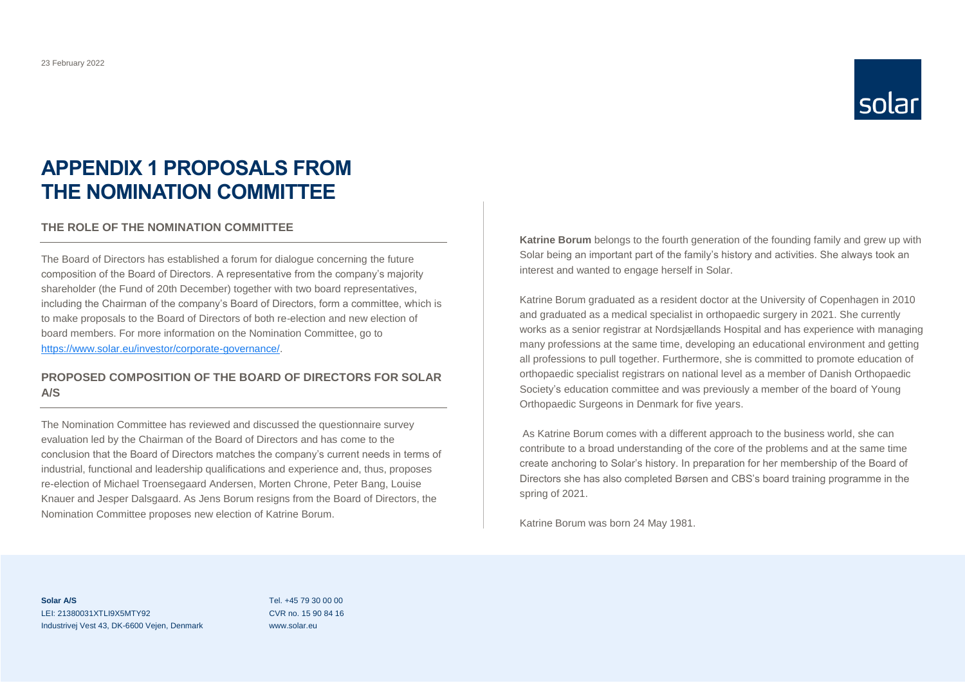

### **APPENDIX 1 PROPOSALS FROM THE NOMINATION COMMITTEE**

#### **THE ROLE OF THE NOMINATION COMMITTEE**

The Board of Directors has established a forum for dialogue concerning the future composition of the Board of Directors. A representative from the company's majority shareholder (the Fund of 20th December) together with two board representatives, including the Chairman of the company's Board of Directors, form a committee, which is to make proposals to the Board of Directors of both re-election and new election of board members. For more information on the Nomination Committee, go to [https://www.solar.eu/investor/corporate-governance/.](https://www.solar.eu/investor/corporate-governance/)

#### **PROPOSED COMPOSITION OF THE BOARD OF DIRECTORS FOR SOLAR A/S**

The Nomination Committee has reviewed and discussed the questionnaire survey evaluation led by the Chairman of the Board of Directors and has come to the conclusion that the Board of Directors matches the company's current needs in terms of industrial, functional and leadership qualifications and experience and, thus, proposes re-election of Michael Troensegaard Andersen, Morten Chrone, Peter Bang, Louise Knauer and Jesper Dalsgaard. As Jens Borum resigns from the Board of Directors, the Nomination Committee proposes new election of Katrine Borum.

**Katrine Borum** belongs to the fourth generation of the founding family and grew up with Solar being an important part of the family's history and activities. She always took an interest and wanted to engage herself in Solar.

Katrine Borum graduated as a resident doctor at the University of Copenhagen in 2010 and graduated as a medical specialist in orthopaedic surgery in 2021. She currently works as a senior registrar at Nordsjællands Hospital and has experience with managing many professions at the same time, developing an educational environment and getting all professions to pull together. Furthermore, she is committed to promote education of orthopaedic specialist registrars on national level as a member of Danish Orthopaedic Society's education committee and was previously a member of the board of Young Orthopaedic Surgeons in Denmark for five years.

As Katrine Borum comes with a different approach to the business world, she can contribute to a broad understanding of the core of the problems and at the same time create anchoring to Solar's history. In preparation for her membership of the Board of Directors she has also completed Børsen and CBS's board training programme in the spring of 2021.

Katrine Borum was born 24 May 1981.

**Solar A/S** LEI: 21380031XTLI9X5MTY92 Industrivej Vest 43, DK-6600 Vejen, Denmark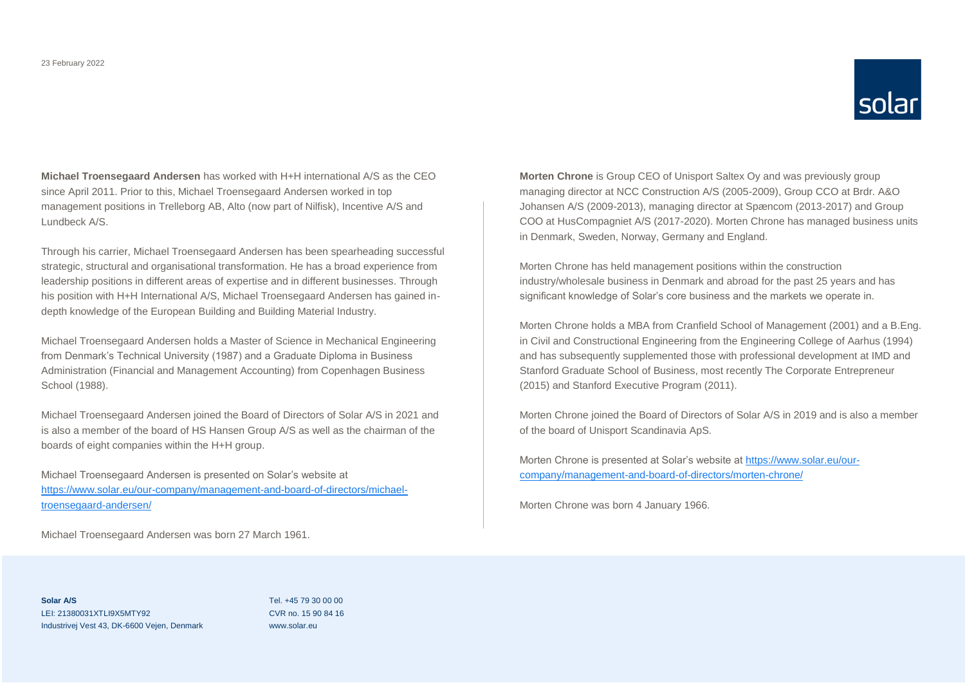

**Michael Troensegaard Andersen** has worked with H+H international A/S as the CEO since April 2011. Prior to this, Michael Troensegaard Andersen worked in top management positions in Trelleborg AB, Alto (now part of Nilfisk), Incentive A/S and Lundbeck A/S.

Through his carrier, Michael Troensegaard Andersen has been spearheading successful strategic, structural and organisational transformation. He has a broad experience from leadership positions in different areas of expertise and in different businesses. Through his position with H+H International A/S, Michael Troensegaard Andersen has gained indepth knowledge of the European Building and Building Material Industry.

Michael Troensegaard Andersen holds a Master of Science in Mechanical Engineering from Denmark's Technical University (1987) and a Graduate Diploma in Business Administration (Financial and Management Accounting) from Copenhagen Business School (1988).

Michael Troensegaard Andersen joined the Board of Directors of Solar A/S in 2021 and is also a member of the board of HS Hansen Group A/S as well as the chairman of the boards of eight companies within the H+H group.

Michael Troensegaard Andersen is presented on Solar's website at [https://www.solar.eu/our-company/management-and-board-of-directors/michael](https://www.solar.eu/our-company/management-and-board-of-directors/michael-troensegaard-andersen/)[troensegaard-andersen/](https://www.solar.eu/our-company/management-and-board-of-directors/michael-troensegaard-andersen/)

Michael Troensegaard Andersen was born 27 March 1961.

**Morten Chrone** is Group CEO of Unisport Saltex Oy and was previously group managing director at NCC Construction A/S (2005-2009), Group CCO at Brdr. A&O Johansen A/S (2009-2013), managing director at Spæncom (2013-2017) and Group COO at HusCompagniet A/S (2017-2020). Morten Chrone has managed business units in Denmark, Sweden, Norway, Germany and England.

Morten Chrone has held management positions within the construction industry/wholesale business in Denmark and abroad for the past 25 years and has significant knowledge of Solar's core business and the markets we operate in.

Morten Chrone holds a MBA from Cranfield School of Management (2001) and a B.Eng. in Civil and Constructional Engineering from the Engineering College of Aarhus (1994) and has subsequently supplemented those with professional development at IMD and Stanford Graduate School of Business, most recently The Corporate Entrepreneur (2015) and Stanford Executive Program (2011).

Morten Chrone joined the Board of Directors of Solar A/S in 2019 and is also a member of the board of Unisport Scandinavia ApS.

Morten Chrone is presented at Solar's website a[t https://www.solar.eu/our](https://www.solar.eu/our-company/management-and-board-of-directors/morten-chrone/)[company/management-and-board-of-directors/morten-chrone/](https://www.solar.eu/our-company/management-and-board-of-directors/morten-chrone/)

Morten Chrone was born 4 January 1966.

**Solar A/S** LEI: 21380031XTLI9X5MTY92 Industrivej Vest 43, DK-6600 Vejen, Denmark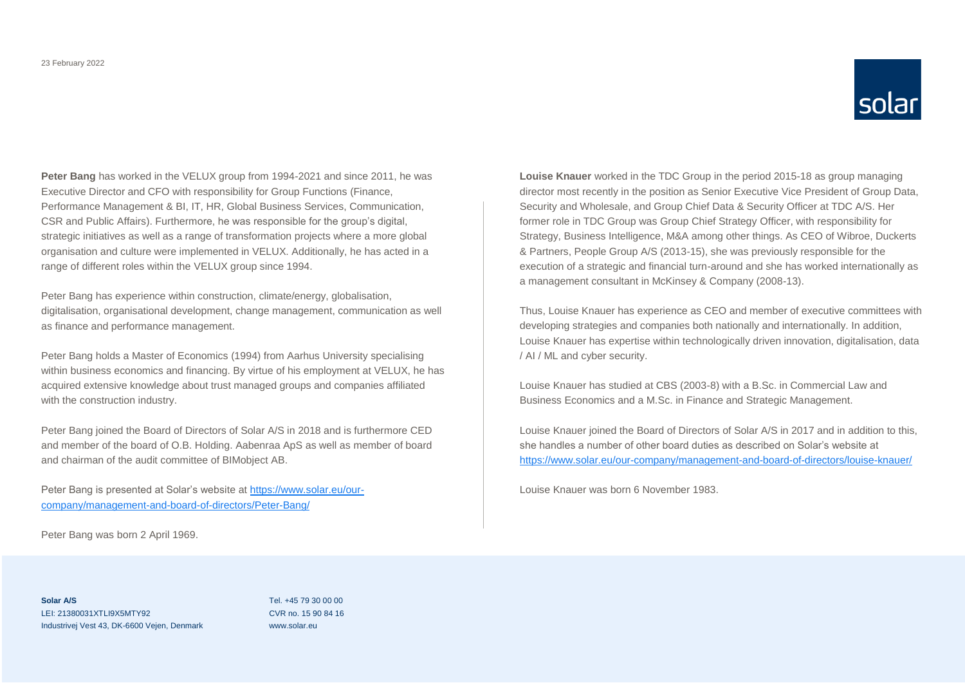

**Peter Bang** has worked in the VELUX group from 1994-2021 and since 2011, he was Executive Director and CFO with responsibility for Group Functions (Finance, Performance Management & BI, IT, HR, Global Business Services, Communication, CSR and Public Affairs). Furthermore, he was responsible for the group's digital, strategic initiatives as well as a range of transformation projects where a more global organisation and culture were implemented in VELUX. Additionally, he has acted in a range of different roles within the VELUX group since 1994.

Peter Bang has experience within construction, climate/energy, globalisation, digitalisation, organisational development, change management, communication as well as finance and performance management.

Peter Bang holds a Master of Economics (1994) from Aarhus University specialising within business economics and financing. By virtue of his employment at VELUX, he has acquired extensive knowledge about trust managed groups and companies affiliated with the construction industry.

Peter Bang joined the Board of Directors of Solar A/S in 2018 and is furthermore CED and member of the board of O.B. Holding. Aabenraa ApS as well as member of board and chairman of the audit committee of BIMobject AB.

Peter Bang is presented at Solar's website at [https://www.solar.eu/our](https://www.solar.eu/our-company/management-and-board-of-directors/Peter-Bang/)[company/management-and-board-of-directors/Peter-Bang/](https://www.solar.eu/our-company/management-and-board-of-directors/Peter-Bang/)

Peter Bang was born 2 April 1969.

**Louise Knauer** worked in the TDC Group in the period 2015-18 as group managing director most recently in the position as Senior Executive Vice President of Group Data, Security and Wholesale, and Group Chief Data & Security Officer at TDC A/S. Her former role in TDC Group was Group Chief Strategy Officer, with responsibility for Strategy, Business Intelligence, M&A among other things. As CEO of Wibroe, Duckerts & Partners, People Group A/S (2013-15), she was previously responsible for the execution of a strategic and financial turn-around and she has worked internationally as a management consultant in McKinsey & Company (2008-13).

Thus, Louise Knauer has experience as CEO and member of executive committees with developing strategies and companies both nationally and internationally. In addition, Louise Knauer has expertise within technologically driven innovation, digitalisation, data / AI / ML and cyber security.

Louise Knauer has studied at CBS (2003-8) with a B.Sc. in Commercial Law and Business Economics and a M.Sc. in Finance and Strategic Management.

Louise Knauer joined the Board of Directors of Solar A/S in 2017 and in addition to this, she handles a number of other board duties as described on Solar's website at <https://www.solar.eu/our-company/management-and-board-of-directors/louise-knauer/>

Louise Knauer was born 6 November 1983.

**Solar A/S** LEI: 21380031XTLI9X5MTY92 Industrivej Vest 43, DK-6600 Vejen, Denmark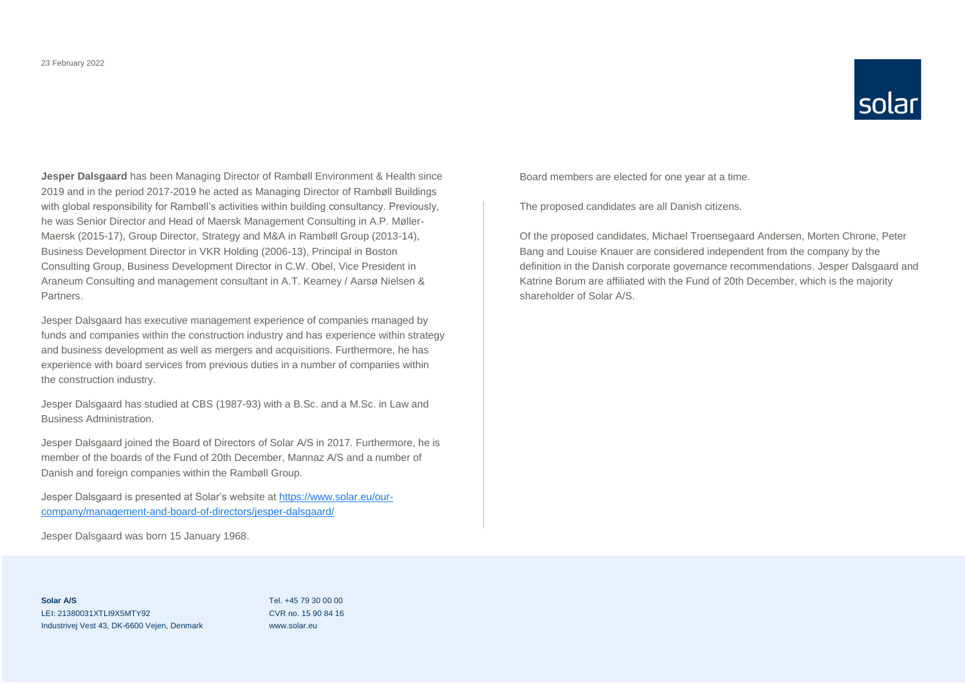

**Jesper Dalsgaard** has been Managing Director of Rambøll Environment & Health since 2019 and in the period 2017-2019 he acted as Managing Director of Rambøll Buildings with global responsibility for Rambøll's activities within building consultancy. Previously, he was Senior Director and Head of Maersk Management Consulting in A.P. Møller-Maersk (2015-17), Group Director, Strategy and M&A in Rambøll Group (2013-14), Business Development Director in VKR Holding (2006-13), Principal in Boston Consulting Group, Business Development Director in C.W. Obel, Vice President in Araneum Consulting and management consultant in A.T. Kearney / Aarsø Nielsen & Partners.

Jesper Dalsgaard has executive management experience of companies managed by funds and companies within the construction industry and has experience within strategy and business development as well as mergers and acquisitions. Furthermore, he has experience with board services from previous duties in a number of companies within the construction industry.

Jesper Dalsgaard has studied at CBS (1987-93) with a B.Sc. and a M.Sc. in Law and Business Administration.

Jesper Dalsgaard joined the Board of Directors of Solar A/S in 2017. Furthermore, he is member of the boards of the Fund of 20th December, Mannaz A/S and a number of Danish and foreign companies within the Rambøll Group.

Jesper Dalsgaard is presented at Solar's website a[t https://www.solar.eu/our](https://www.solar.eu/our-company/management-and-board-of-directors/jesper-dalsgaard/)[company/management-and-board-of-directors/jesper-dalsgaard/](https://www.solar.eu/our-company/management-and-board-of-directors/jesper-dalsgaard/)

Jesper Dalsgaard was born 15 January 1968.

Board members are elected for one year at a time.

The proposed candidates are all Danish citizens.

Of the proposed candidates, Michael Troensegaard Andersen, Morten Chrone, Peter Bang and Louise Knauer are considered independent from the company by the definition in the Danish corporate governance recommendations. Jesper Dalsgaard and Katrine Borum are affiliated with the Fund of 20th December, which is the majority shareholder of Solar A/S.

**Solar A/S** LEI: 21380031XTLI9X5MTY92 Industrivej Vest 43, DK-6600 Vejen, Denmark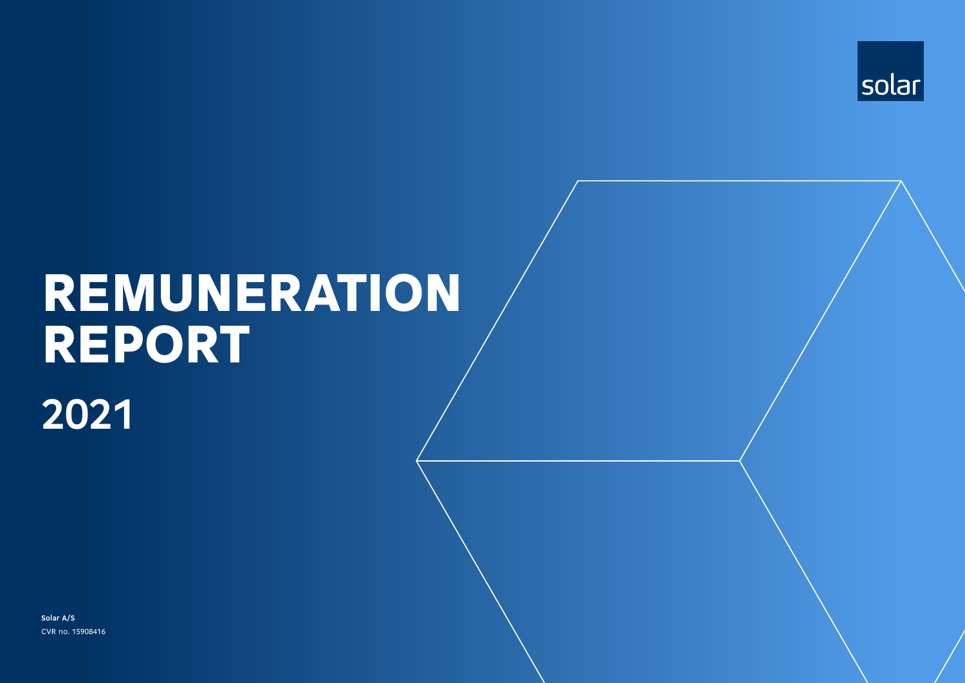

# **2021** REMUNERATION REPORT

**Solar A/S** CVR no. 15908416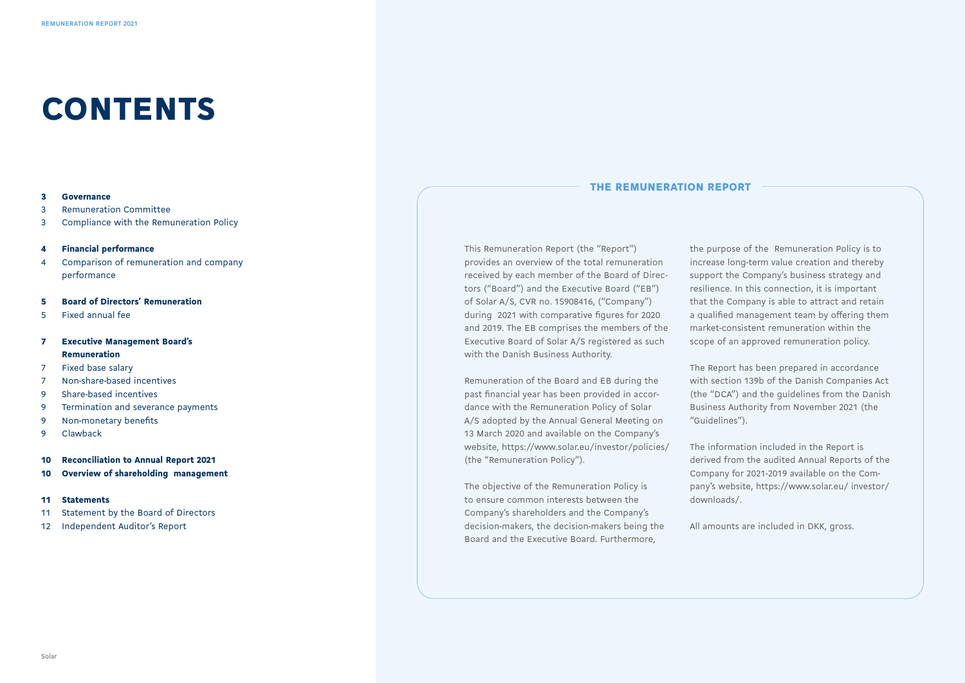### CONTENTS

#### 3 Governance

3 Remuneration Committee

3 Compliance with the Remuneration Policy

#### 4 Financial performance

4 Comparison of remuneration and company performance

#### 5 Board of Directors' Remuneration

5 Fixed annual fee

#### 7 Executive Management Board's Remuneration

- 7 Fixed base salary
- 7 Non-share-based incentives
- 9 Share-based incentives
- 9 Termination and severance payments
- 9 Non-monetary benefits
- 9 Clawback
- 10 Reconciliation to Annual Report 2021
- 10 Overview of shareholding management

#### 11 Statements

- 11 Statement by the Board of Directors
- 12 Independent Auditor's Report

#### THE REMUNERATION REPORT

This Remuneration Report (the "Report") provides an overview of the total remuneration received by each member of the Board of Directors ("Board") and the Executive Board ("EB") of Solar A/S, CVR no. 15908416, ("Company") during 2021 with comparative figures for 2020 and 2019. The EB comprises the members of the Executive Board of Solar A/S registered as such with the Danish Business Authority.

Remuneration of the Board and EB during the past financial year has been provided in accordance with the Remuneration Policy of Solar A/S adopted by the Annual General Meeting on 13 March 2020 and available on the Company's website, https://www.solar.eu/investor/policies/ (the "Remuneration Policy").

The objective of the Remuneration Policy is to ensure common interests between the Company's shareholders and the Company's decision-makers, the decision-makers being the Board and the Executive Board. Furthermore,

the purpose of the Remuneration Policy is to increase long-term value creation and thereby support the Company's business strategy and resilience. In this connection, it is important that the Company is able to attract and retain a qualified management team by offering them market-consistent remuneration within the scope of an approved remuneration policy.

The Report has been prepared in accordance with section 139b of the Danish Companies Act (the "DCA") and the guidelines from the Danish Business Authority from November 2021 (the "Guidelines").

The information included in the Report is derived from the audited Annual Reports of the Company for 2021-2019 available on the Company's website, https://www.solar.eu/ investor/ downloads/.

All amounts are included in DKK, gross.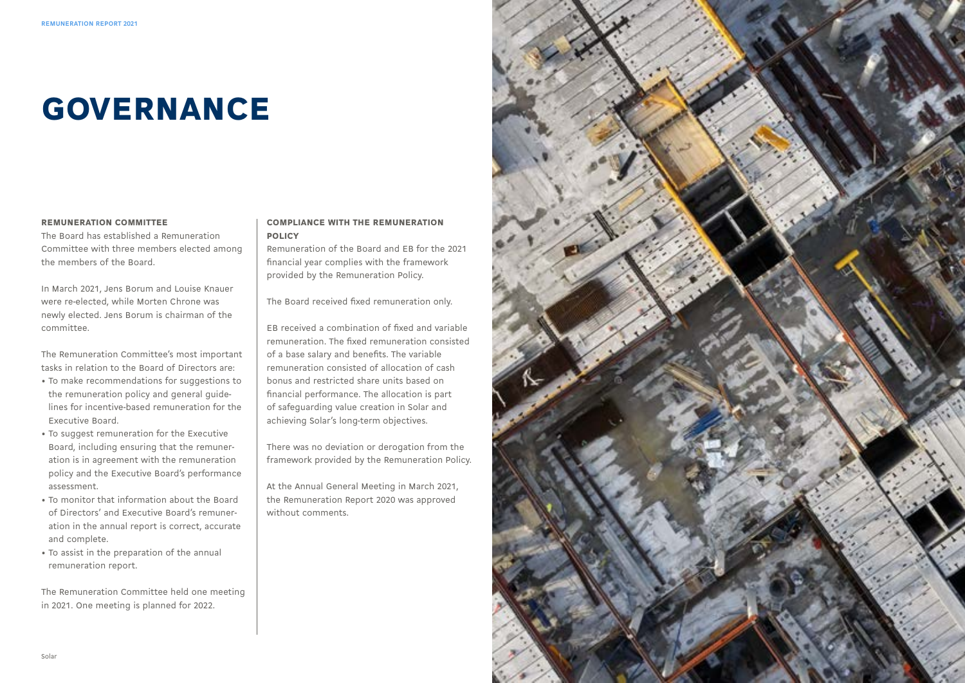# GOVERNANCE

#### REMUNERATION COMMITTEE

The Board has established a Remuneration Committee with three members elected among the members of the Board.

In March 2021, Jens Borum and Louise Knauer were re-elected, while Morten Chrone was newly elected. Jens Borum is chairman of the committee.

The Remuneration Committee's most important tasks in relation to the Board of Directors are:

- To make recommendations for suggestions to the remuneration policy and general guidelines for incentive-based remuneration for the Executive Board.
- To suggest remuneration for the Executive Board, including ensuring that the remuneration is in agreement with the remuneration policy and the Executive Board's performance assessment.
- To monitor that information about the Board of Directors' and Executive Board's remuneration in the annual report is correct, accurate and complete.
- To assist in the preparation of the annual remuneration report.

The Remuneration Committee held one meeting in 2021. One meeting is planned for 2022.

#### COMPLIANCE WITH THE REMUNERATION POLICY

Remuneration of the Board and EB for the 2021 financial year complies with the framework provided by the Remuneration Policy.

The Board received fixed remuneration only.

EB received a combination of fixed and variable remuneration. The fixed remuneration consisted of a base salary and benefits. The variable remuneration consisted of allocation of cash bonus and restricted share units based on financial performance. The allocation is part of safeguarding value creation in Solar and achieving Solar's long-term objectives.

There was no deviation or derogation from the framework provided by the Remuneration Policy.

At the Annual General Meeting in March 2021, the Remuneration Report 2020 was approved without comments.

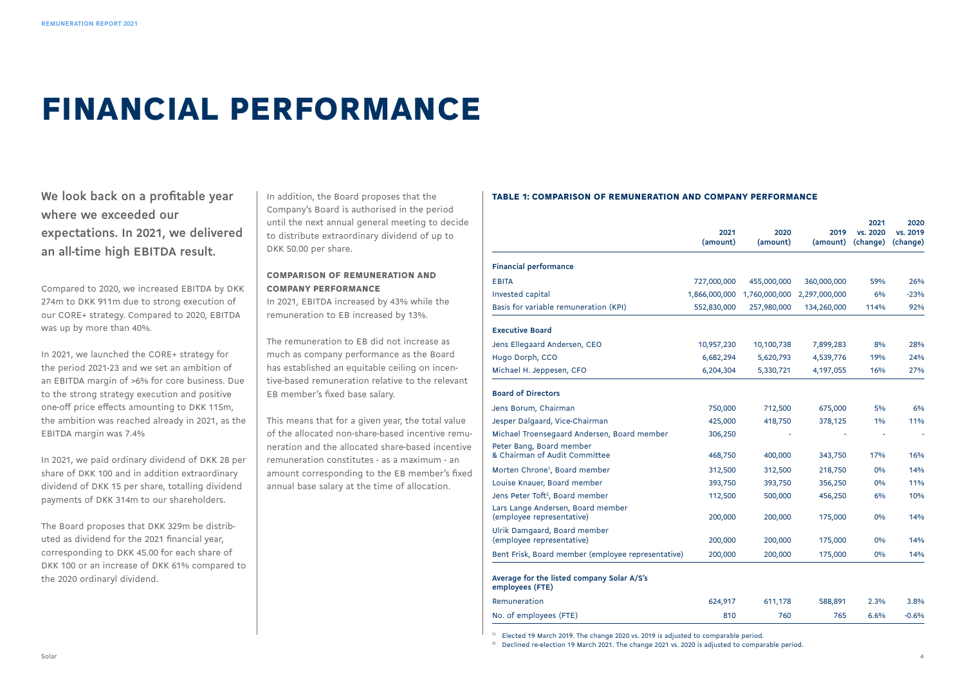### FINANCIAL PERFORMANCE

**We look back on a profitable year where we exceeded our expectations. In 2021, we delivered an all-time high EBITDA result.**

Compared to 2020, we increased EBITDA by DKK 274m to DKK 911m due to strong execution of our CORE+ strategy. Compared to 2020, EBITDA was up by more than 40%.

In 2021, we launched the CORE+ strategy for the period 2021-23 and we set an ambition of an EBITDA margin of >6% for core business. Due to the strong strategy execution and positive one-off price effects amounting to DKK 115m, the ambition was reached already in 2021, as the EBITDA margin was 7.4%

In 2021, we paid ordinary dividend of DKK 28 per share of DKK 100 and in addition extraordinary dividend of DKK 15 per share, totalling dividend payments of DKK 314m to our shareholders.

The Board proposes that DKK 329m be distributed as dividend for the 2021 financial year, corresponding to DKK 45.00 for each share of DKK 100 or an increase of DKK 61% compared to the 2020 ordinaryl dividend.

In addition, the Board proposes that the Company's Board is authorised in the period until the next annual general meeting to decide to distribute extraordinary dividend of up to DKK 50.00 per share.

#### COMPARISON OF REMUNERATION AND COMPANY PERFORMANCE

In 2021, EBITDA increased by 43% while the remuneration to EB increased by 13%.

The remuneration to EB did not increase as much as company performance as the Board has established an equitable ceiling on incentive-based remuneration relative to the relevant EB member's fixed base salary.

This means that for a given year, the total value of the allocated non-share-based incentive remuneration and the allocated share-based incentive remuneration constitutes - as a maximum - an amount corresponding to the EB member's fixed annual base salary at the time of allocation.

#### TABLE 1: COMPARISON OF REMUNERATION AND COMPANY PERFORMANCE

|                                                                | 2021<br>(amount) | 2020<br>(amount) | 2019<br>(amount) | 2021<br>vs. 2020<br>(change) | 2020<br>vs. 2019<br>(change) |
|----------------------------------------------------------------|------------------|------------------|------------------|------------------------------|------------------------------|
| <b>Financial performance</b>                                   |                  |                  |                  |                              |                              |
| <b>EBITA</b>                                                   | 727,000,000      | 455,000,000      | 360,000,000      | 59%                          | 26%                          |
| <b>Invested capital</b>                                        | 1,866,000,000    | 1,760,000,000    | 2,297,000,000    | 6%                           | $-23%$                       |
| Basis for variable remuneration (KPI)                          | 552,830,000      | 257,980,000      | 134,260,000      | 114%                         | 92%                          |
| <b>Executive Board</b>                                         |                  |                  |                  |                              |                              |
| Jens Ellegaard Andersen, CEO                                   | 10,957,230       | 10,100,738       | 7,899,283        | 8%                           | 28%                          |
| Hugo Dorph, CCO                                                | 6,682,294        | 5,620,793        | 4,539,776        | 19%                          | 24%                          |
| Michael H. Jeppesen, CFO                                       | 6,204,304        | 5,330,721        | 4,197,055        | 16%                          | 27%                          |
| <b>Board of Directors</b>                                      |                  |                  |                  |                              |                              |
| Jens Borum, Chairman                                           | 750,000          | 712,500          | 675,000          | 5%                           | 6%                           |
| Jesper Dalgaard, Vice-Chairman                                 | 425,000          | 418,750          | 378,125          | 1%                           | 11%                          |
| Michael Troensegaard Andersen, Board member                    | 306,250          |                  |                  |                              |                              |
| Peter Bang, Board member<br>& Chairman of Audit Committee      | 468,750          | 400,000          | 343,750          | 17%                          | 16%                          |
| Morten Chrone <sup>1</sup> , Board member                      | 312,500          | 312,500          | 218,750          | 0%                           | 14%                          |
| Louise Knauer, Board member                                    | 393,750          | 393,750          | 356,250          | 0%                           | 11%                          |
| Jens Peter Toft <sup>2</sup> , Board member                    | 112,500          | 500,000          | 456,250          | 6%                           | 10%                          |
| Lars Lange Andersen, Board member<br>(employee representative) | 200,000          | 200,000          | 175,000          | 0%                           | 14%                          |
| Ulrik Damgaard, Board member<br>(employee representative)      | 200,000          | 200,000          | 175,000          | 0%                           | 14%                          |
| Bent Frisk, Board member (employee representative)             | 200,000          | 200,000          | 175,000          | 0%                           | 14%                          |
| Average for the listed company Solar A/S's<br>employees (FTE)  |                  |                  |                  |                              |                              |
| Remuneration                                                   | 624,917          | 611,178          | 588,891          | 2.3%                         | 3.8%                         |
| No. of employees (FTE)                                         | 810              | 760              | 765              | 6.6%                         | $-0.6%$                      |

<sup>1)</sup> Elected 19 March 2019. The change 2020 vs. 2019 is adjusted to comparable period.

<sup>2)</sup> Declined re-election 19 March 2021. The change 2021 vs. 2020 is adjusted to comparable period.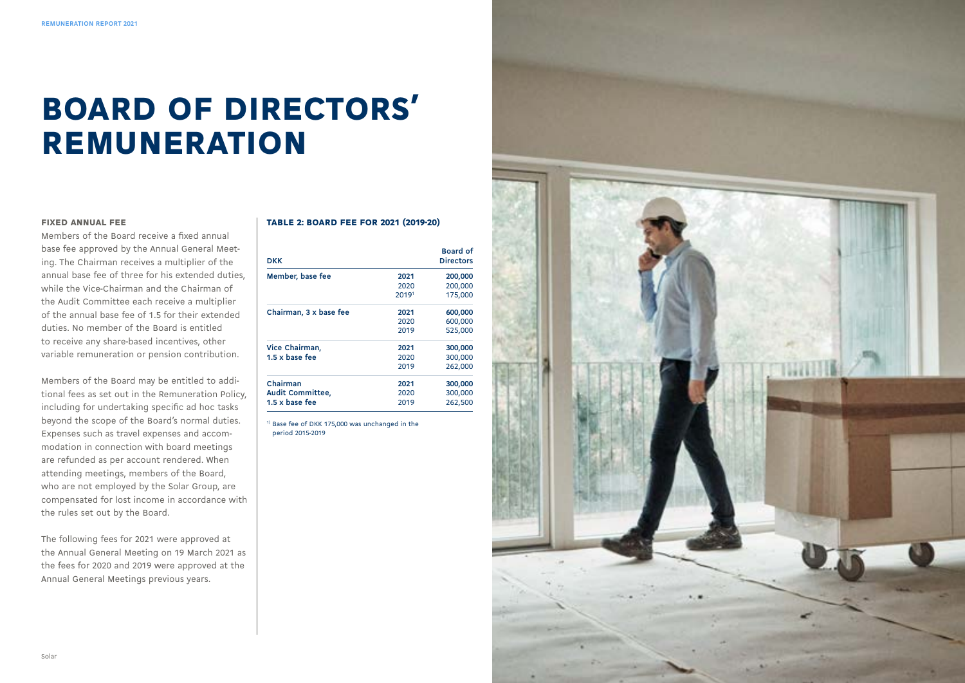# BOARD OF DIRECTORS' REMUNERATION

#### FIXED ANNUAL FEE

Members of the Board receive a fixed annual base fee approved by the Annual General Meet ing. The Chairman receives a multiplier of the annual base fee of three for his extended duties, while the Vice-Chairman and the Chairman of the Audit Committee each receive a multiplier of the annual base fee of 1.5 for their extended duties. No member of the Board is entitled to receive any share-based incentives, other variable remuneration or pension contribution.

Members of the Board may be entitled to addi tional fees as set out in the Remuneration Policy, including for undertaking specific ad hoc tasks beyond the scope of the Board's normal duties. Expenses such as travel expenses and accom modation in connection with board meetings are refunded as per account rendered. When attending meetings, members of the Board, who are not employed by the Solar Group, are compensated for lost income in accordance with the rules set out by the Board.

The following fees for 2021 were approved at the Annual General Meeting on 19 March 2021 as the fees for 2020 and 2019 were approved at the Annual General Meetings previous years.

#### TABLE 2: BOARD FEE FOR 2021 (2019-20)

| DKK                          |       | <b>Board of</b><br><b>Directors</b> |
|------------------------------|-------|-------------------------------------|
| Member, base fee             | 2021  | 200,000                             |
|                              | 2020  | 200,000                             |
|                              | 20191 | 175,000                             |
| Chairman, 3 x base fee       | 2021  | 600,000                             |
|                              | 2020  | 600,000                             |
|                              | 2019  | 525,000                             |
| Vice Chairman,               | 2021  | 300,000                             |
| $1.5 \times \text{base}$ fee | 2020  | 300,000                             |
|                              | 2019  | 262,000                             |
| Chairman                     | 2021  | 300,000                             |
| Audit Committee,             | 2020  | 300,000                             |
| $1.5 \times \text{base}$ fee | 2019  | 262,500                             |

 $1)$  Base fee of DKK 175,000 was unchanged in the period 2015-2019

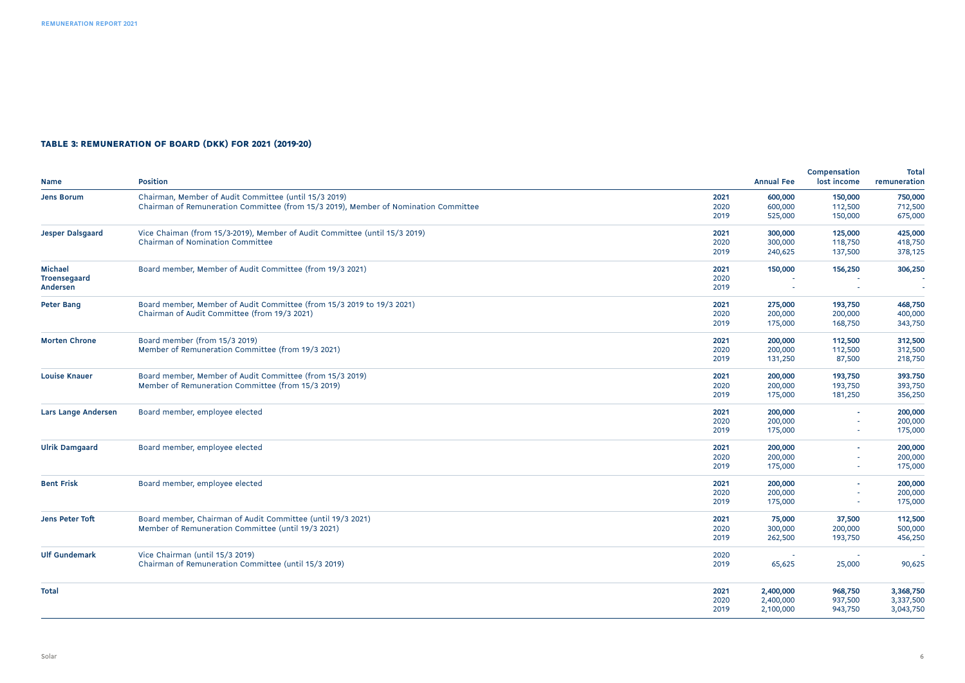#### TABLE 3: REMUNERATION OF BOARD (DKK) FOR 2021 (2019-20)

| <b>Name</b>                | <b>Position</b>                                                                     |      | <b>Annual Fee</b> | Compensation<br>lost income | Total<br>remuneration |
|----------------------------|-------------------------------------------------------------------------------------|------|-------------------|-----------------------------|-----------------------|
| <b>Jens Borum</b>          | Chairman, Member of Audit Committee (until 15/3 2019)                               | 2021 | 600,000           | 150,000                     | 750,000               |
|                            | Chairman of Remuneration Committee (from 15/3 2019), Member of Nomination Committee | 2020 | 600,000           | 112,500                     | 712,500               |
|                            |                                                                                     | 2019 | 525,000           | 150,000                     | 675,000               |
| <b>Jesper Dalsgaard</b>    | Vice Chaiman (from 15/3-2019), Member of Audit Committee (until 15/3 2019)          | 2021 | 300,000           | 125,000                     | 425,000               |
|                            | Chairman of Nomination Committee                                                    | 2020 | 300,000           | 118,750                     | 418,750               |
|                            |                                                                                     | 2019 | 240,625           | 137,500                     | 378,125               |
| Michael                    | Board member, Member of Audit Committee (from 19/3 2021)                            | 2021 | 150,000           | 156,250                     | 306,250               |
| Troensegaard               |                                                                                     | 2020 |                   |                             |                       |
| Andersen                   |                                                                                     | 2019 |                   | $\sim$                      |                       |
| <b>Peter Bang</b>          | Board member, Member of Audit Committee (from 15/3 2019 to 19/3 2021)               | 2021 | 275,000           | 193,750                     | 468,750               |
|                            | Chairman of Audit Committee (from 19/3 2021)                                        | 2020 | 200,000           | 200,000                     | 400,000               |
|                            |                                                                                     | 2019 | 175,000           | 168,750                     | 343,750               |
| <b>Morten Chrone</b>       | Board member (from 15/3 2019)                                                       | 2021 | 200,000           | 112,500                     | 312,500               |
|                            | Member of Remuneration Committee (from 19/3 2021)                                   | 2020 | 200,000           | 112,500                     | 312,500               |
|                            |                                                                                     | 2019 | 131,250           | 87,500                      | 218,750               |
| <b>Louise Knauer</b>       | Board member, Member of Audit Committee (from 15/3 2019)                            | 2021 | 200,000           | 193,750                     | 393.750               |
|                            | Member of Remuneration Committee (from 15/3 2019)                                   | 2020 | 200,000           | 193,750                     | 393,750               |
|                            |                                                                                     | 2019 | 175,000           | 181,250                     | 356,250               |
| <b>Lars Lange Andersen</b> | Board member, employee elected                                                      | 2021 | 200,000           |                             | 200,000               |
|                            |                                                                                     | 2020 | 200,000           |                             | 200,000               |
|                            |                                                                                     | 2019 | 175,000           |                             | 175,000               |
| <b>Ulrik Damgaard</b>      | Board member, employee elected                                                      | 2021 | 200,000           |                             | 200,000               |
|                            |                                                                                     | 2020 | 200,000           |                             | 200,000               |
|                            |                                                                                     | 2019 | 175,000           |                             | 175,000               |
| <b>Bent Frisk</b>          | Board member, employee elected                                                      | 2021 | 200,000           |                             | 200,000               |
|                            |                                                                                     | 2020 | 200,000           |                             | 200,000               |
|                            |                                                                                     | 2019 | 175,000           |                             | 175,000               |
| Jens Peter Toft            | Board member, Chairman of Audit Committee (until 19/3 2021)                         | 2021 | 75,000            | 37,500                      | 112,500               |
|                            | Member of Remuneration Committee (until 19/3 2021)                                  | 2020 | 300,000           | 200,000                     | 500,000               |
|                            |                                                                                     | 2019 | 262,500           | 193,750                     | 456,250               |
| <b>Ulf Gundemark</b>       | Vice Chairman (until 15/3 2019)                                                     | 2020 |                   |                             |                       |
|                            | Chairman of Remuneration Committee (until 15/3 2019)                                | 2019 | 65,625            | 25,000                      | 90,625                |
| Total                      |                                                                                     | 2021 | 2,400,000         | 968,750                     | 3,368,750             |
|                            |                                                                                     | 2020 | 2,400,000         | 937,500                     | 3,337,500             |
|                            |                                                                                     | 2019 | 2,100,000         | 943,750                     | 3,043,750             |
|                            |                                                                                     |      |                   |                             |                       |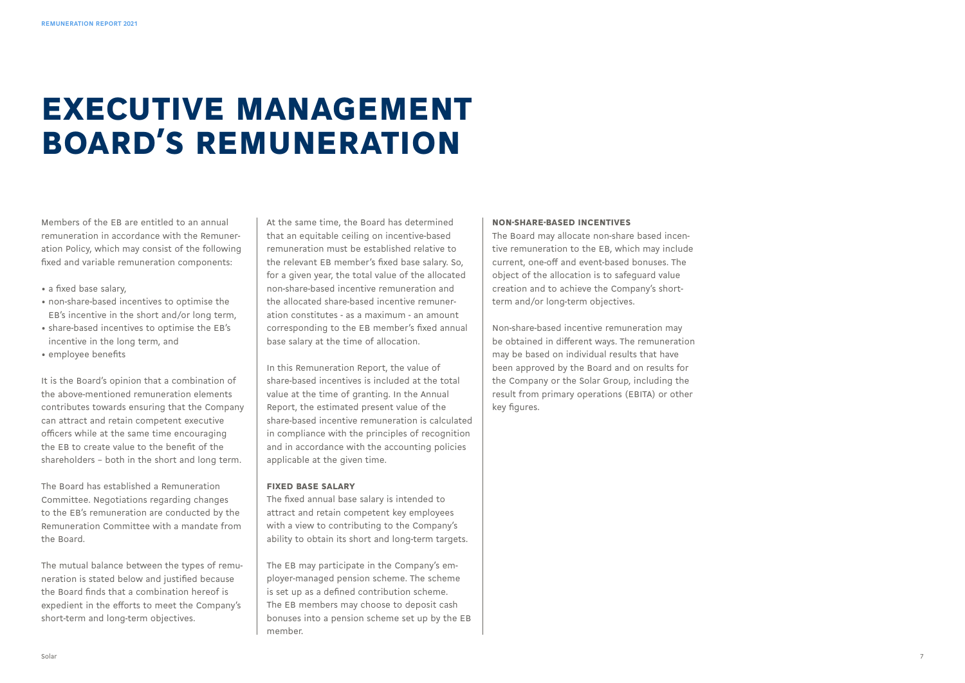### EXECUTIVE MANAGEMENT BOARD'S REMUNERATION

Members of the EB are entitled to an annual remuneration in accordance with the Remuneration Policy, which may consist of the following fixed and variable remuneration components:

- a fixed base salary,
- non-share-based incentives to optimise the EB's incentive in the short and/or long term,
- share-based incentives to optimise the EB's incentive in the long term, and
- employee benefits

It is the Board's opinion that a combination of the above-mentioned remuneration elements contributes towards ensuring that the Company can attract and retain competent executive officers while at the same time encouraging the EB to create value to the benefit of the shareholders – both in the short and long term.

The Board has established a Remuneration Committee. Negotiations regarding changes to the EB's remuneration are conducted by the Remuneration Committee with a mandate from the Board.

The mutual balance between the types of remuneration is stated below and justified because the Board finds that a combination hereof is expedient in the efforts to meet the Company's short-term and long-term objectives.

At the same time, the Board has determined that an equitable ceiling on incentive-based remuneration must be established relative to the relevant EB member's fixed base salary. So, for a given year, the total value of the allocated non-share-based incentive remuneration and the allocated share-based incentive remuneration constitutes - as a maximum - an amount corresponding to the EB member's fixed annual base salary at the time of allocation.

In this Remuneration Report, the value of share-based incentives is included at the total value at the time of granting. In the Annual Report, the estimated present value of the share-based incentive remuneration is calculated in compliance with the principles of recognition and in accordance with the accounting policies applicable at the given time.

#### FIXED BASE SALARY

The fixed annual base salary is intended to attract and retain competent key employees with a view to contributing to the Company's ability to obtain its short and long-term targets.

The EB may participate in the Company's employer-managed pension scheme. The scheme is set up as a defined contribution scheme. The EB members may choose to deposit cash bonuses into a pension scheme set up by the EB member.

#### NON-SHARE-BASED INCENTIVES

The Board may allocate non-share based incentive remuneration to the EB, which may include current, one-off and event-based bonuses. The object of the allocation is to safeguard value creation and to achieve the Company's shortterm and/or long-term objectives.

Non-share-based incentive remuneration may be obtained in different ways. The remuneration may be based on individual results that have been approved by the Board and on results for the Company or the Solar Group, including the result from primary operations (EBITA) or other key figures.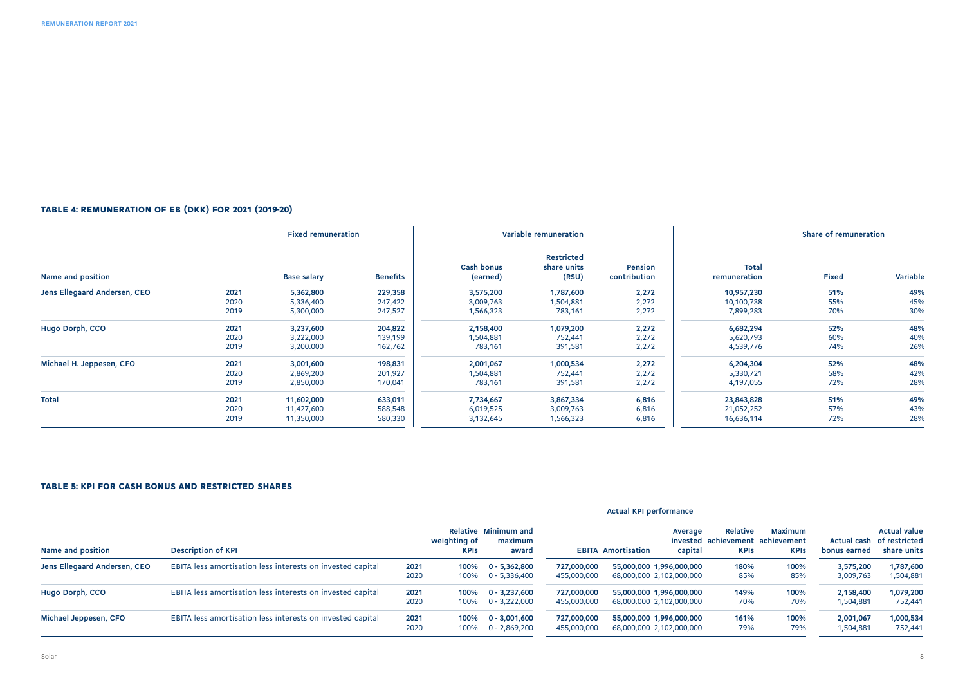#### TABLE 4: REMUNERATION OF EB (DKK) FOR 2021 (2019-20)

| <b>Fixed remuneration</b>    |      |                    | Variable remuneration |                        |                                    | Share of remuneration   |                       |       |          |
|------------------------------|------|--------------------|-----------------------|------------------------|------------------------------------|-------------------------|-----------------------|-------|----------|
| Name and position            |      | <b>Base salary</b> | <b>Benefits</b>       | Cash bonus<br>(earned) | Restricted<br>share units<br>(RSU) | Pension<br>contribution | Total<br>remuneration | Fixed | Variable |
| Jens Ellegaard Andersen, CEO | 2021 | 5,362,800          | 229,358               | 3,575,200              | 1,787,600                          | 2,272                   | 10,957,230            | 51%   | 49%      |
|                              | 2020 | 5,336,400          | 247,422               | 3,009,763              | 1,504,881                          | 2,272                   | 10,100,738            | 55%   | 45%      |
|                              | 2019 | 5,300,000          | 247,527               | 1,566,323              | 783,161                            | 2,272                   | 7,899,283             | 70%   | 30%      |
| Hugo Dorph, CCO              | 2021 | 3,237,600          | 204,822               | 2,158,400              | 1,079,200                          | 2,272                   | 6,682,294             | 52%   | 48%      |
|                              | 2020 | 3,222,000          | 139,199               | 1,504,881              | 752,441                            | 2,272                   | 5,620,793             | 60%   | 40%      |
|                              | 2019 | 3,200.000          | 162,762               | 783,161                | 391,581                            | 2,272                   | 4,539,776             | 74%   | 26%      |
| Michael H. Jeppesen, CFO     | 2021 | 3,001,600          | 198,831               | 2,001,067              | 1,000,534                          | 2,272                   | 6,204,304             | 52%   | 48%      |
|                              | 2020 | 2,869,200          | 201,927               | 1,504,881              | 752,441                            | 2,272                   | 5,330,721             | 58%   | 42%      |
|                              | 2019 | 2,850,000          | 170,041               | 783,161                | 391,581                            | 2,272                   | 4,197,055             | 72%   | 28%      |
| <b>Total</b>                 | 2021 | 11,602,000         | 633,011               | 7,734,667              | 3,867,334                          | 6,816                   | 23,843,828            | 51%   | 49%      |
|                              | 2020 | 11,427,600         | 588,548               | 6,019,525              | 3,009,763                          | 6,816                   | 21,052,252            | 57%   | 43%      |
|                              | 2019 | 11,350,000         | 580,330               | 3,132,645              | 1,566,323                          | 6,816                   | 16,636,114            | 72%   | 28%      |

#### TABLE 5: KPI FOR CASH BONUS AND RESTRICTED SHARES

|                              |                                                            | <b>Actual KPI performance</b> |                             |                                          |                            |                           |                                                      |                                                    |                               |                        |                                                                 |
|------------------------------|------------------------------------------------------------|-------------------------------|-----------------------------|------------------------------------------|----------------------------|---------------------------|------------------------------------------------------|----------------------------------------------------|-------------------------------|------------------------|-----------------------------------------------------------------|
| Name and position            | <b>Description of KPI</b>                                  |                               | weighting of<br><b>KPIS</b> | Relative Minimum and<br>maximum<br>award |                            | <b>EBITA Amortisation</b> | Average<br>invested<br>capital                       | Relative<br>achievement achievement<br><b>KPIs</b> | <b>Maximum</b><br><b>KPIs</b> | bonus earned           | <b>Actual value</b><br>Actual cash of restricted<br>share units |
| Jens Ellegaard Andersen, CEO | EBITA less amortisation less interests on invested capital | 2021<br>2020                  | 100%<br>100%                | $0 - 5,362,800$<br>$0 - 5,336,400$       | 727.000.000<br>455,000,000 |                           | 55,000,000 1,996,000,000<br>68,000,000 2,102,000,000 | 180%<br>85%                                        | 100%<br>85%                   | 3,575,200<br>3,009,763 | 1,787,600<br>1,504,881                                          |
| Hugo Dorph, CCO              | EBITA less amortisation less interests on invested capital | 2021<br>2020                  | 100%<br>100%                | $0 - 3.237.600$<br>$0 - 3.222.000$       | 727,000,000<br>455,000,000 |                           | 55,000,000 1,996,000,000<br>68,000,000 2,102,000,000 | 149%<br>70%                                        | 100%<br>70%                   | 2,158,400<br>1,504,881 | 1,079,200<br>752,441                                            |
| Michael Jeppesen, CFO        | EBITA less amortisation less interests on invested capital | 2021<br>2020                  | 100%<br>100%                | $0 - 3,001,600$<br>$0 - 2,869,200$       | 727,000,000<br>455,000,000 |                           | 55,000,000 1,996,000,000<br>68,000,000 2,102,000,000 | 161%<br>79%                                        | 100%<br>79%                   | 2,001,067<br>1,504,881 | 1,000,534<br>752.441                                            |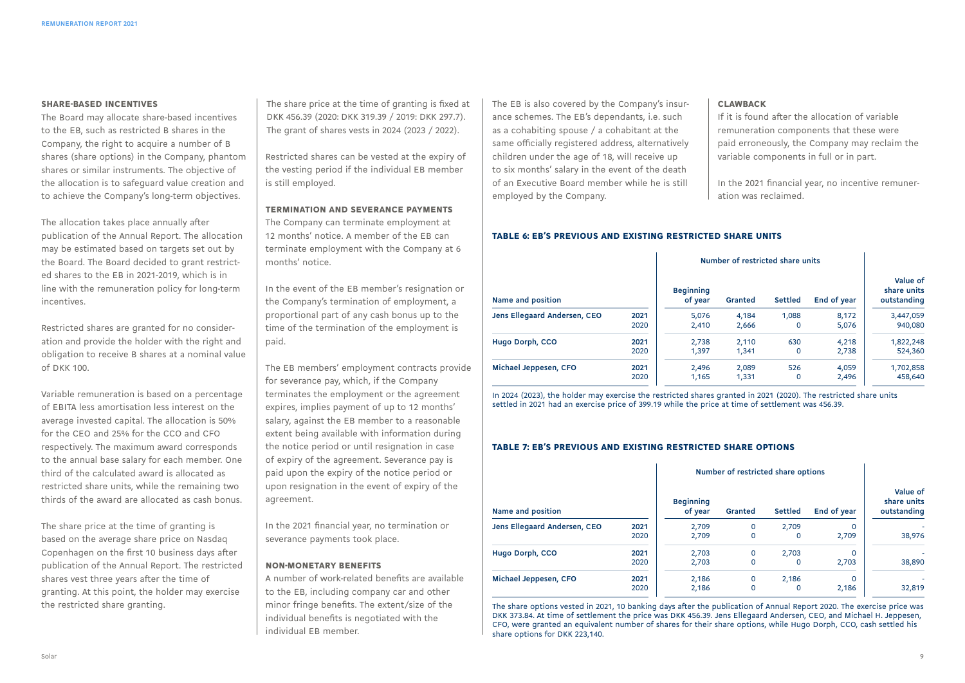#### SHARE-BASED INCENTIVES

The Board may allocate share-based incentives to the EB, such as restricted B shares in the Company, the right to acquire a number of B shares (share options) in the Company, phantom shares or similar instruments. The objective of the allocation is to safeguard value creation and to achieve the Company's long-term objectives.

The allocation takes place annually after publication of the Annual Report. The allocation may be estimated based on targets set out by the Board. The Board decided to grant restricted shares to the EB in 2021-2019, which is in line with the remuneration policy for long-term incentives.

Restricted shares are granted for no consideration and provide the holder with the right and obligation to receive B shares at a nominal value of DKK 100.

Variable remuneration is based on a percentage of EBITA less amortisation less interest on the average invested capital. The allocation is 50% for the CEO and 25% for the CCO and CFO respectively. The maximum award corresponds to the annual base salary for each member. One third of the calculated award is allocated as restricted share units, while the remaining two thirds of the award are allocated as cash bonus.

The share price at the time of granting is based on the average share price on Nasdaq Copenhagen on the first 10 business days after publication of the Annual Report. The restricted shares vest three years after the time of granting. At this point, the holder may exercise the restricted share granting.

The share price at the time of granting is fixed at DKK 456.39 (2020: DKK 319.39 / 2019: DKK 297.7). The grant of shares vests in 2024 (2023 / 2022).

Restricted shares can be vested at the expiry of the vesting period if the individual EB member is still employed.

#### TERMINATION AND SEVERANCE PAYMENTS

The Company can terminate employment at 12 months' notice. A member of the EB can terminate employment with the Company at 6 months' notice.

In the event of the EB member's resignation or the Company's termination of employment, a proportional part of any cash bonus up to the time of the termination of the employment is paid.

The EB members' employment contracts provide for severance pay, which, if the Company terminates the employment or the agreement expires, implies payment of up to 12 months' salary, against the EB member to a reasonable extent being available with information during the notice period or until resignation in case of expiry of the agreement. Severance pay is paid upon the expiry of the notice period or upon resignation in the event of expiry of the agreement.

In the 2021 financial year, no termination or severance payments took place.

#### NON-MONETARY BENEFITS

A number of work-related benefits are available to the EB, including company car and other minor fringe benefits. The extent/size of the individual benefits is negotiated with the individual EB member.

The EB is also covered by the Company's insurance schemes. The EB's dependants, i.e. such as a cohabiting spouse / a cohabitant at the same officially registered address, alternatively children under the age of 18, will receive up to six months' salary in the event of the death of an Executive Board member while he is still employed by the Company.

#### **CLAWBACK**

If it is found after the allocation of variable remuneration components that these were paid erroneously, the Company may reclaim the variable components in full or in part.

In the 2021 financial year, no incentive remuneration was reclaimed.

#### TABLE 6: EB'S PREVIOUS AND EXISTING RESTRICTED SHARE UNITS

|                              |      | Number of restricted share units |         |                |             |                                        |
|------------------------------|------|----------------------------------|---------|----------------|-------------|----------------------------------------|
| Name and position            |      | <b>Beginning</b><br>of year      | Granted | <b>Settled</b> | End of year | Value of<br>share units<br>outstanding |
| Jens Ellegaard Andersen, CEO | 2021 | 5,076                            | 4.184   | 1.088          | 8,172       | 3,447,059                              |
|                              | 2020 | 2.410                            | 2,666   | 0              | 5,076       | 940,080                                |
| Hugo Dorph, CCO              | 2021 | 2.738                            | 2.110   | 630            | 4.218       | 1,822,248                              |
|                              | 2020 | 1.397                            | 1,341   | 0              | 2,738       | 524,360                                |
| Michael Jeppesen, CFO        | 2021 | 2.496                            | 2.089   | 526            | 4,059       | 1,702,858                              |
|                              | 2020 | 1,165                            | 1,331   | 0              | 2,496       | 458,640                                |

In 2024 (2023), the holder may exercise the restricted shares granted in 2021 (2020). The restricted share units settled in 2021 had an exercise price of 399.19 while the price at time of settlement was 456.39.

#### TABLE 7: EB'S PREVIOUS AND EXISTING RESTRICTED SHARE OPTIONS

|                              |      | Number of restricted share options |         |         |             |                                        |
|------------------------------|------|------------------------------------|---------|---------|-------------|----------------------------------------|
| Name and position            |      | <b>Beginning</b><br>of year        | Granted | Settled | End of year | Value of<br>share units<br>outstanding |
| Jens Ellegaard Andersen, CEO | 2021 | 2,709                              | 0       | 2,709   | 0           |                                        |
|                              | 2020 | 2,709                              | 0       | 0       | 2,709       | 38,976                                 |
| Hugo Dorph, CCO              | 2021 | 2,703                              | 0       | 2.703   | 0           |                                        |
|                              | 2020 | 2,703                              | 0       | 0       | 2,703       | 38,890                                 |
| Michael Jeppesen, CFO        | 2021 | 2,186                              | 0       | 2,186   | 0           |                                        |
|                              | 2020 | 2,186                              | 0       | 0       | 2,186       | 32,819                                 |

The share options vested in 2021, 10 banking days after the publication of Annual Report 2020. The exercise price was DKK 373.84. At time of settlement the price was DKK 456.39. Jens Ellegaard Andersen, CEO, and Michael H. Jeppesen, CFO, were granted an equivalent number of shares for their share options, while Hugo Dorph, CCO, cash settled his share options for DKK 223,140.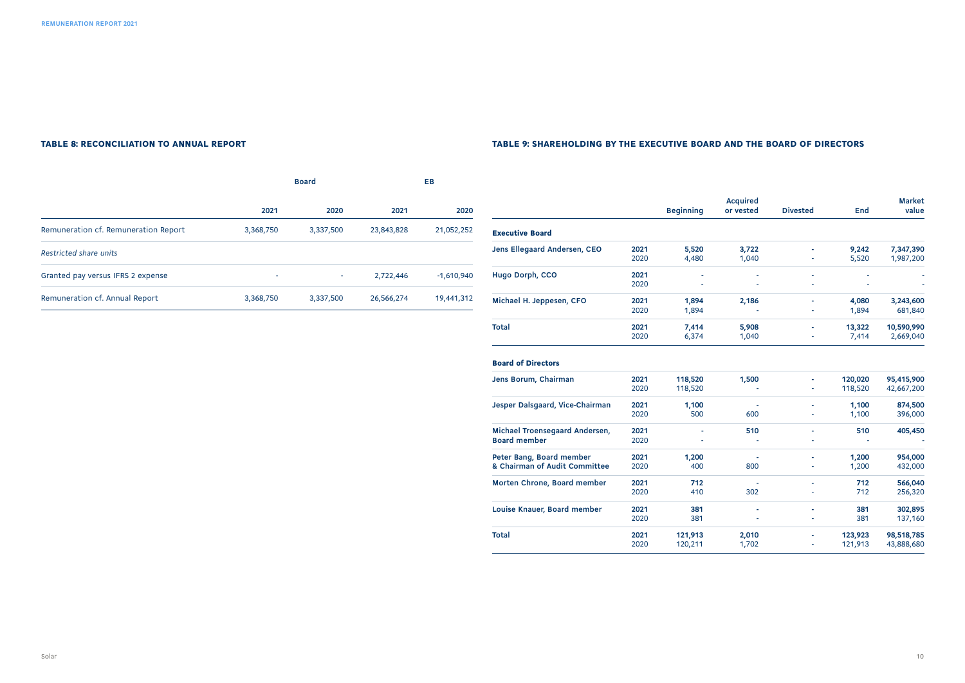#### TABLE 8: RECONCILIATION TO ANNUAL REPORT TABLE 9: SHAREHOLDING BY THE EXECUTIVE BOARD AND THE BOARD OF DIRECTORS

|                                      |           | <b>Board</b> | EB.        |              |  |
|--------------------------------------|-----------|--------------|------------|--------------|--|
|                                      | 2021      | 2020         | 2021       | 2020         |  |
| Remuneration cf. Remuneration Report | 3,368,750 | 3,337,500    | 23,843,828 | 21,052,252   |  |
| <b>Restricted share units</b>        |           |              |            |              |  |
| Granted pay versus IFRS 2 expense    | ٠         | ٠            | 2,722,446  | $-1,610,940$ |  |
| Remuneration cf. Annual Report       | 3,368,750 | 3,337,500    | 26,566,274 | 19,441,312   |  |

|                              |      | <b>Beginning</b> | <b>Acquired</b><br>or vested | <b>Divested</b> | End    | <b>Market</b><br>value |
|------------------------------|------|------------------|------------------------------|-----------------|--------|------------------------|
| <b>Executive Board</b>       |      |                  |                              |                 |        |                        |
| Jens Ellegaard Andersen, CEO | 2021 | 5,520            | 3,722                        | ٠               | 9,242  | 7,347,390              |
|                              | 2020 | 4,480            | 1,040                        | ٠               | 5,520  | 1,987,200              |
| Hugo Dorph, CCO              | 2021 | ٠                | ٠                            | ٠               | ٠      |                        |
|                              | 2020 | ٠                | ٠                            | ٠               | ٠      |                        |
| Michael H. Jeppesen, CFO     | 2021 | 1,894            | 2,186                        |                 | 4,080  | 3,243,600              |
|                              | 2020 | 1,894            |                              | ٠               | 1,894  | 681,840                |
| <b>Total</b>                 | 2021 | 7,414            | 5,908                        | ٠               | 13,322 | 10,590,990             |
|                              | 2020 | 6,374            | 1,040                        | ٠               | 7,414  | 2,669,040              |

| <b>Board of Directors</b>       |      |         |       |   |         |            |
|---------------------------------|------|---------|-------|---|---------|------------|
| Jens Borum, Chairman            | 2021 | 118,520 | 1,500 | ٠ | 120,020 | 95,415,900 |
|                                 | 2020 | 118,520 |       | ٠ | 118,520 | 42,667,200 |
| Jesper Dalsgaard, Vice-Chairman | 2021 | 1,100   |       | ٠ | 1,100   | 874,500    |
|                                 | 2020 | 500     | 600   | ٠ | 1,100   | 396,000    |
| Michael Troensegaard Andersen,  | 2021 |         | 510   |   | 510     | 405,450    |
| <b>Board member</b>             | 2020 | ٠       |       | ٠ |         |            |
| Peter Bang, Board member        | 2021 | 1,200   |       |   | 1,200   | 954,000    |
| & Chairman of Audit Committee   | 2020 | 400     | 800   | ٠ | 1,200   | 432,000    |
| Morten Chrone, Board member     | 2021 | 712     |       |   | 712     | 566,040    |
|                                 | 2020 | 410     | 302   | ٠ | 712     | 256,320    |
| Louise Knauer, Board member     | 2021 | 381     |       | ٠ | 381     | 302,895    |
|                                 | 2020 | 381     |       | ٠ | 381     | 137,160    |
| Total                           | 2021 | 121,913 | 2,010 | ٠ | 123,923 | 98,518,785 |
|                                 | 2020 | 120,211 | 1,702 | ٠ | 121,913 | 43,888,680 |
|                                 |      |         |       |   |         |            |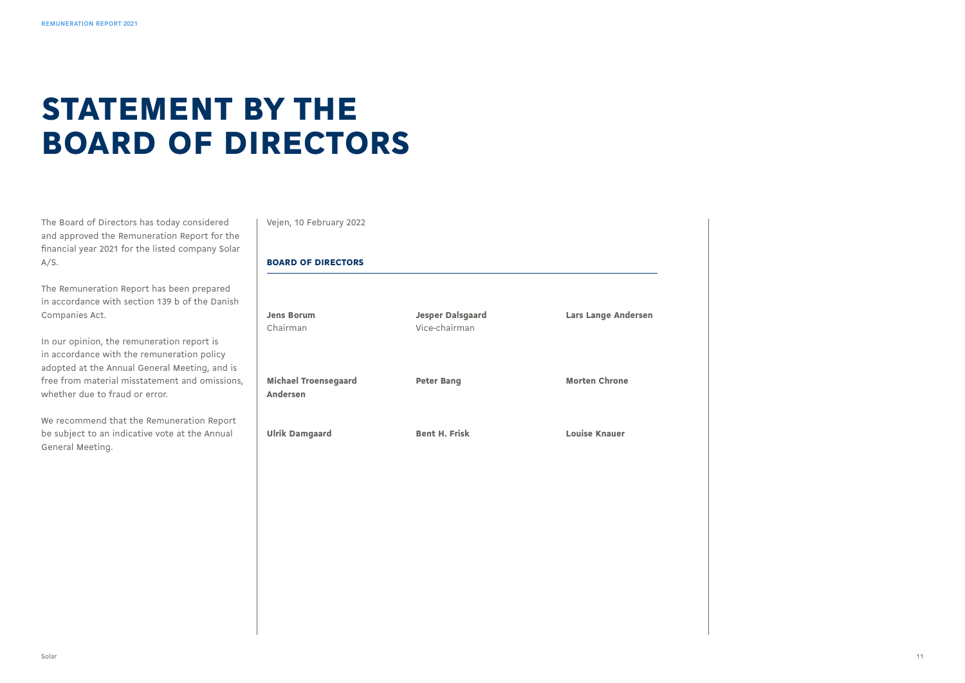### STATEMENT BY THE BOARD OF DIRECTORS

The Board of Directors has today considered and approved the Remuneration Report for the financial year 2021 for the listed company Solar A/S.

The Remuneration Report has been prepared in accordance with section 139 b of the Danish Companies Act.

In our opinion, the remuneration report is in accordance with the remuneration policy adopted at the Annual General Meeting, and is free from material misstatement and omissions, whether due to fraud or error.

We recommend that the Remuneration Report be subject to an indicative vote at the Annual General Meeting.

Vejen, 10 February 2022

#### BOARD OF DIRECTORS

| <b>Jens Borum</b><br>Chairman           | <b>Jesper Dalsgaard</b><br>Vice-chairman | <b>Lars Lange Andersen</b> |
|-----------------------------------------|------------------------------------------|----------------------------|
| <b>Michael Troensegaard</b><br>Andersen | <b>Peter Bang</b>                        | <b>Morten Chrone</b>       |
| <b>Ulrik Damgaard</b>                   | <b>Bent H. Frisk</b>                     | <b>Louise Knauer</b>       |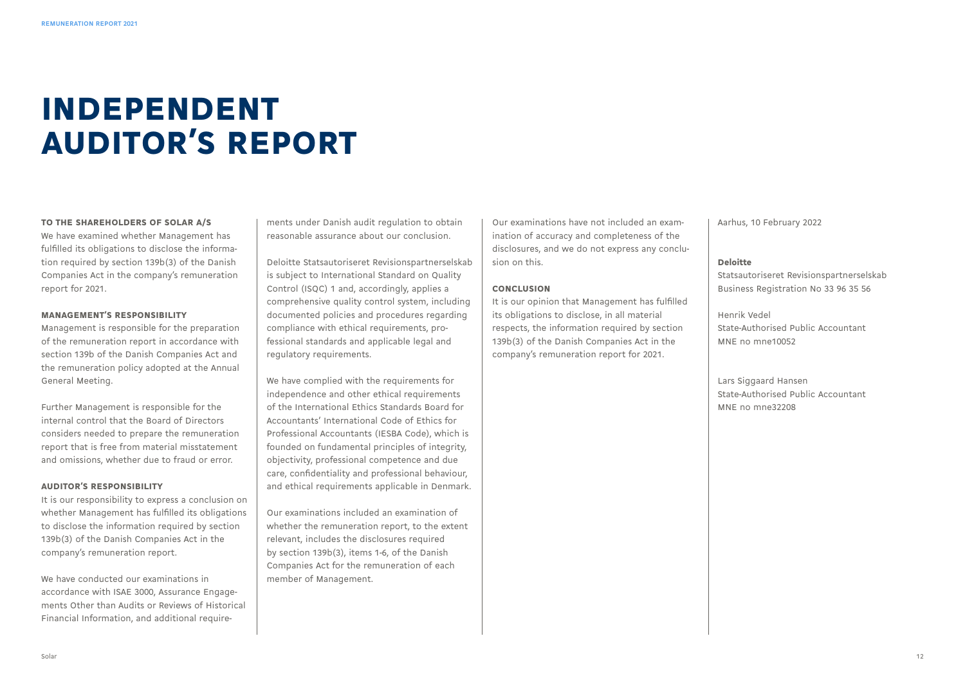# INDEPENDENT AUDITOR'S REPORT

#### TO THE SHAREHOLDERS OF SOLAR A/S

We have examined whether Management has fulfilled its obligations to disclose the information required by section 139b(3) of the Danish Companies Act in the company's remuneration report for 2021.

#### MANAGEMENT'S RESPONSIBILITY

Management is responsible for the preparation of the remuneration report in accordance with section 139b of the Danish Companies Act and the remuneration policy adopted at the Annual General Meeting.

Further Management is responsible for the internal control that the Board of Directors considers needed to prepare the remuneration report that is free from material misstatement and omissions, whether due to fraud or error.

#### AUDITOR'S RESPONSIBILITY

It is our responsibility to express a conclusion on whether Management has fulfilled its obligations to disclose the information required by section 139b(3) of the Danish Companies Act in the company's remuneration report.

We have conducted our examinations in accordance with ISAE 3000, Assurance Engagements Other than Audits or Reviews of Historical Financial Information, and additional require-

ments under Danish audit regulation to obtain reasonable assurance about our conclusion.

Deloitte Statsautoriseret Revisionspartnerselskab is subject to International Standard on Quality Control (ISQC) 1 and, accordingly, applies a comprehensive quality control system, including documented policies and procedures regarding compliance with ethical requirements, professional standards and applicable legal and regulatory requirements.

We have complied with the requirements for independence and other ethical requirements of the International Ethics Standards Board for Accountants' International Code of Ethics for Professional Accountants (IESBA Code), which is founded on fundamental principles of integrity, objectivity, professional competence and due care, confidentiality and professional behaviour, and ethical requirements applicable in Denmark.

Our examinations included an examination of whether the remuneration report, to the extent relevant, includes the disclosures required by section 139b(3), items 1-6, of the Danish Companies Act for the remuneration of each member of Management.

Our examinations have not included an examination of accuracy and completeness of the disclosures, and we do not express any conclusion on this.

#### CONCLUSION

It is our opinion that Management has fulfilled its obligations to disclose, in all material respects, the information required by section 139b(3) of the Danish Companies Act in the company's remuneration report for 2021.

Aarhus, 10 February 2022

#### Deloitte

Statsautoriseret Revisionspartnerselskab Business Registration No 33 96 35 56

Henrik Vedel State-Authorised Public Accountant MNE no mne10052

Lars Siggaard Hansen State-Authorised Public Accountant MNE no mne32208